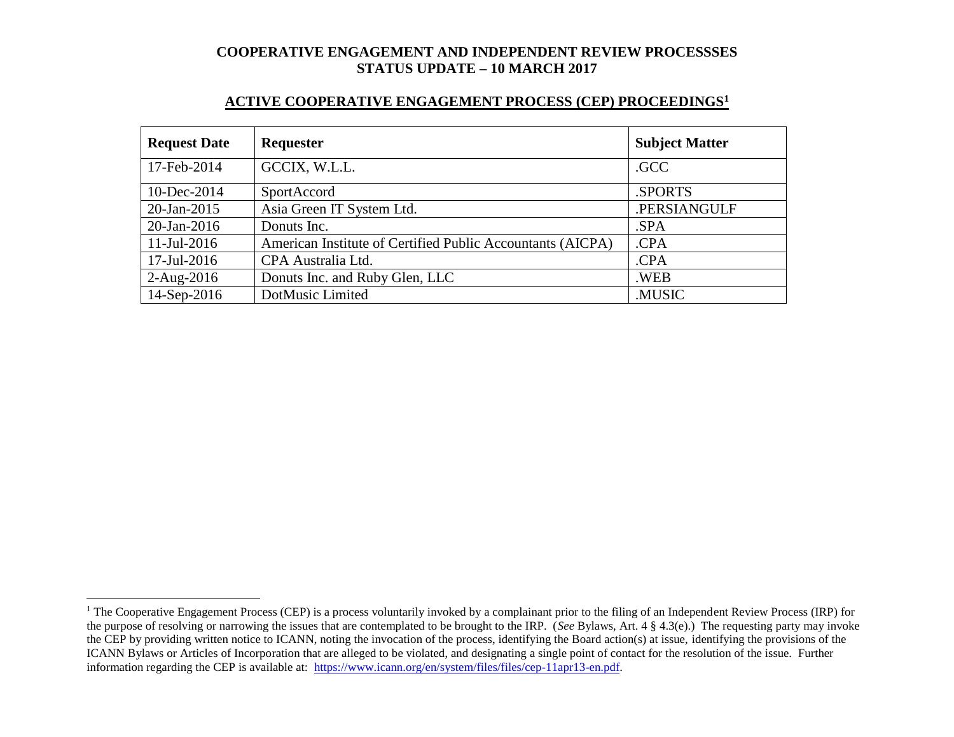### **ACTIVE COOPERATIVE ENGAGEMENT PROCESS (CEP) PROCEEDINGS<sup>1</sup>**

| <b>Request Date</b> | <b>Requester</b>                                           | <b>Subject Matter</b> |
|---------------------|------------------------------------------------------------|-----------------------|
| 17-Feb-2014         | GCCIX, W.L.L.                                              | .GCC                  |
| 10-Dec-2014         | SportAccord                                                | <b>SPORTS</b>         |
| $20$ -Jan-2015      | Asia Green IT System Ltd.                                  | .PERSIANGULF          |
| $20$ -Jan-2016      | Donuts Inc.                                                | .SPA                  |
| $11$ -Jul-2016      | American Institute of Certified Public Accountants (AICPA) | .CPA                  |
| 17-Jul-2016         | CPA Australia Ltd.                                         | .CPA                  |
| $2-Aug-2016$        | Donuts Inc. and Ruby Glen, LLC                             | .WEB                  |
| 14-Sep-2016         | DotMusic Limited                                           | .MUSIC                |

l

<sup>&</sup>lt;sup>1</sup> The Cooperative Engagement Process (CEP) is a process voluntarily invoked by a complainant prior to the filing of an Independent Review Process (IRP) for the purpose of resolving or narrowing the issues that are contemplated to be brought to the IRP. (*See* Bylaws, Art. 4 § 4.3(e).) The requesting party may invoke the CEP by providing written notice to ICANN, noting the invocation of the process, identifying the Board action(s) at issue, identifying the provisions of the ICANN Bylaws or Articles of Incorporation that are alleged to be violated, and designating a single point of contact for the resolution of the issue. Further information regarding the CEP is available at: [https://www.icann.org/en/system/files/files/cep-11apr13-en.pdf.](https://www.icann.org/en/system/files/files/cep-11apr13-en.pdf)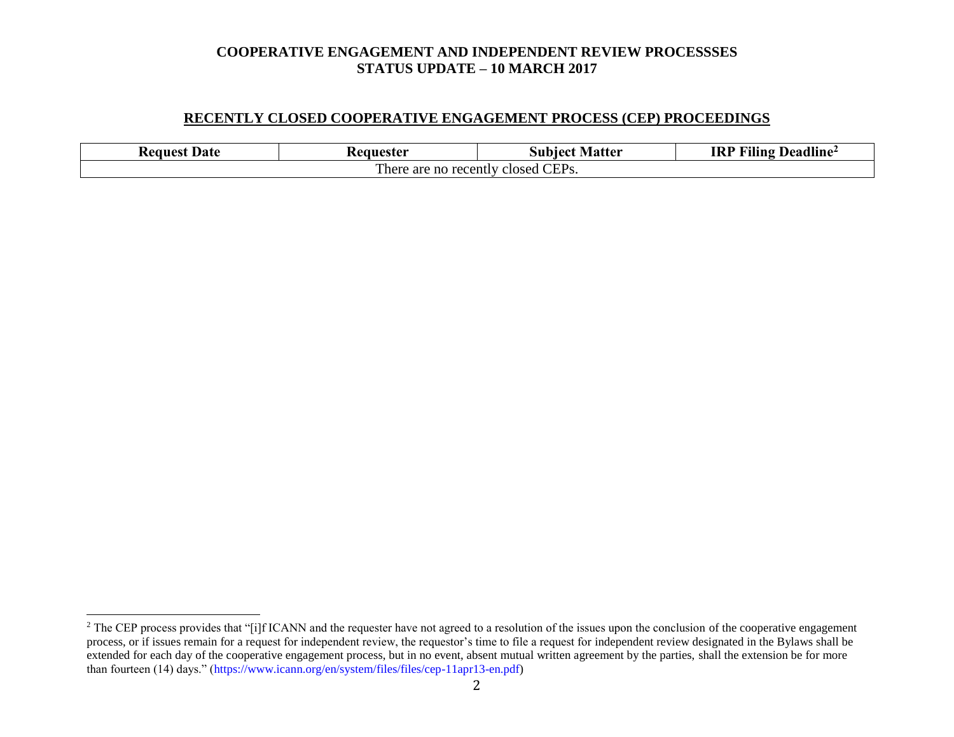### **RECENTLY CLOSED COOPERATIVE ENGAGEMENT PROCESS (CEP) PROCEEDINGS**

| Date<br><b>Request</b>                                        | 'eanester | Matter<br>Subiect | .<br>$T^{\prime\prime}$<br><b>IRP</b><br>Deadline<br>Aling |  |  |
|---------------------------------------------------------------|-----------|-------------------|------------------------------------------------------------|--|--|
| CEP <sub>s</sub> .<br>m,<br>There are no recently<br>closed : |           |                   |                                                            |  |  |

l

<sup>&</sup>lt;sup>2</sup> The CEP process provides that "[i]f ICANN and the requester have not agreed to a resolution of the issues upon the conclusion of the cooperative engagement process, or if issues remain for a request for independent review, the requestor's time to file a request for independent review designated in the Bylaws shall be extended for each day of the cooperative engagement process, but in no event, absent mutual written agreement by the parties, shall the extension be for more than fourteen (14) days." (https://www.icann.org/en/system/files/files/cep-11apr13-en.pdf)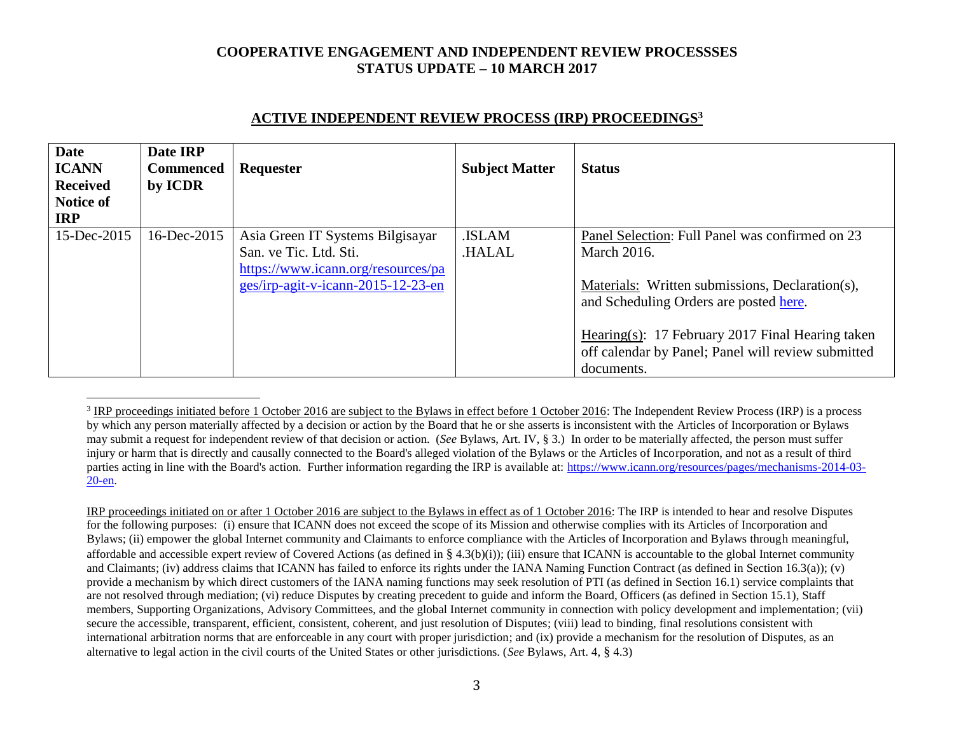| <b>Date</b><br><b>ICANN</b><br><b>Received</b><br>Notice of<br><b>IRP</b> | Date IRP<br><b>Commenced</b><br>by ICDR | Requester                                                    | <b>Subject Matter</b> | <b>Status</b>                                                                                                        |
|---------------------------------------------------------------------------|-----------------------------------------|--------------------------------------------------------------|-----------------------|----------------------------------------------------------------------------------------------------------------------|
| 15-Dec-2015                                                               | 16-Dec-2015                             | Asia Green IT Systems Bilgisayar                             | .ISLAM                | Panel Selection: Full Panel was confirmed on 23                                                                      |
|                                                                           |                                         | San. ve Tic. Ltd. Sti.<br>https://www.icann.org/resources/pa | <b>HALAL</b>          | <b>March 2016.</b>                                                                                                   |
|                                                                           |                                         | ges/irp-agit-v-icann-2015-12-23-en                           |                       | Materials: Written submissions, Declaration(s),<br>and Scheduling Orders are posted here.                            |
|                                                                           |                                         |                                                              |                       | Hearing(s): 17 February 2017 Final Hearing taken<br>off calendar by Panel; Panel will review submitted<br>documents. |

#### **ACTIVE INDEPENDENT REVIEW PROCESS (IRP) PROCEEDINGS<sup>3</sup>**

 $\overline{a}$ 

IRP proceedings initiated on or after 1 October 2016 are subject to the Bylaws in effect as of 1 October 2016: The IRP is intended to hear and resolve Disputes for the following purposes: (i) ensure that ICANN does not exceed the scope of its Mission and otherwise complies with its Articles of Incorporation and Bylaws; (ii) empower the global Internet community and Claimants to enforce compliance with the Articles of Incorporation and Bylaws through meaningful, affordable and accessible expert review of Covered Actions (as defined in § 4.3(b)(i)); (iii) ensure that ICANN is accountable to the global Internet community and Claimants; (iv) address claims that ICANN has failed to enforce its rights under the IANA Naming Function Contract (as defined in Section 16.3(a)); (v) provide a mechanism by which direct customers of the IANA naming functions may seek resolution of PTI (as defined in Section 16.1) service complaints that are not resolved through mediation; (vi) reduce Disputes by creating precedent to guide and inform the Board, Officers (as defined in Section 15.1), Staff members, Supporting Organizations, Advisory Committees, and the global Internet community in connection with policy development and implementation; (vii) secure the accessible, transparent, efficient, consistent, coherent, and just resolution of Disputes; (viii) lead to binding, final resolutions consistent with international arbitration norms that are enforceable in any court with proper jurisdiction; and (ix) provide a mechanism for the resolution of Disputes, as an alternative to legal action in the civil courts of the United States or other jurisdictions. (*See* Bylaws, Art. 4, § 4.3)

 $3$  IRP proceedings initiated before 1 October 2016 are subject to the Bylaws in effect before 1 October 2016: The Independent Review Process (IRP) is a process by which any person materially affected by a decision or action by the Board that he or she asserts is inconsistent with the Articles of Incorporation or Bylaws may submit a request for independent review of that decision or action. (*See* Bylaws, Art. IV, § 3.) In order to be materially affected, the person must suffer injury or harm that is directly and causally connected to the Board's alleged violation of the Bylaws or the Articles of Incorporation, and not as a result of third parties acting in line with the Board's action. Further information regarding the IRP is available at: [https://www.icann.org/resources/pages/mechanisms-2014-03-](https://www.icann.org/resources/pages/mechanisms-2014-03-20-en) [20-en.](https://www.icann.org/resources/pages/mechanisms-2014-03-20-en)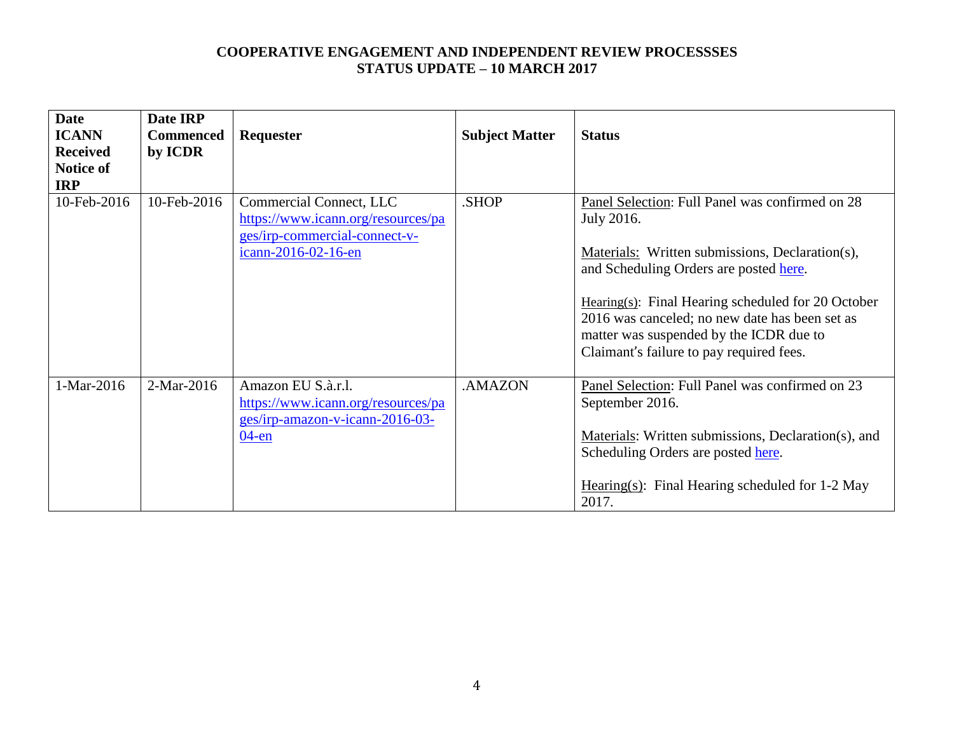| <b>Date</b>     | Date IRP         |                                    |                       |                                                        |
|-----------------|------------------|------------------------------------|-----------------------|--------------------------------------------------------|
| <b>ICANN</b>    | <b>Commenced</b> | Requester                          | <b>Subject Matter</b> | <b>Status</b>                                          |
| <b>Received</b> | by ICDR          |                                    |                       |                                                        |
| Notice of       |                  |                                    |                       |                                                        |
| <b>IRP</b>      |                  |                                    |                       |                                                        |
| 10-Feb-2016     | 10-Feb-2016      | Commercial Connect, LLC            | .SHOP                 | Panel Selection: Full Panel was confirmed on 28        |
|                 |                  | https://www.icann.org/resources/pa |                       | July 2016.                                             |
|                 |                  | ges/irp-commercial-connect-v-      |                       |                                                        |
|                 |                  | icann-2016-02-16-en                |                       | Materials: Written submissions, Declaration(s),        |
|                 |                  |                                    |                       | and Scheduling Orders are posted here.                 |
|                 |                  |                                    |                       |                                                        |
|                 |                  |                                    |                       | Hearing $(s)$ : Final Hearing scheduled for 20 October |
|                 |                  |                                    |                       | 2016 was canceled; no new date has been set as         |
|                 |                  |                                    |                       | matter was suspended by the ICDR due to                |
|                 |                  |                                    |                       | Claimant's failure to pay required fees.               |
|                 |                  |                                    |                       |                                                        |
| 1-Mar-2016      | 2-Mar-2016       | Amazon EU S.à.r.l.                 | .AMAZON               | Panel Selection: Full Panel was confirmed on 23        |
|                 |                  | https://www.icann.org/resources/pa |                       | September 2016.                                        |
|                 |                  | ges/irp-amazon-v-icann-2016-03-    |                       |                                                        |
|                 |                  | $04$ -en                           |                       | Materials: Written submissions, Declaration(s), and    |
|                 |                  |                                    |                       | Scheduling Orders are posted here.                     |
|                 |                  |                                    |                       |                                                        |
|                 |                  |                                    |                       | Hearing(s): Final Hearing scheduled for 1-2 May        |
|                 |                  |                                    |                       | 2017.                                                  |